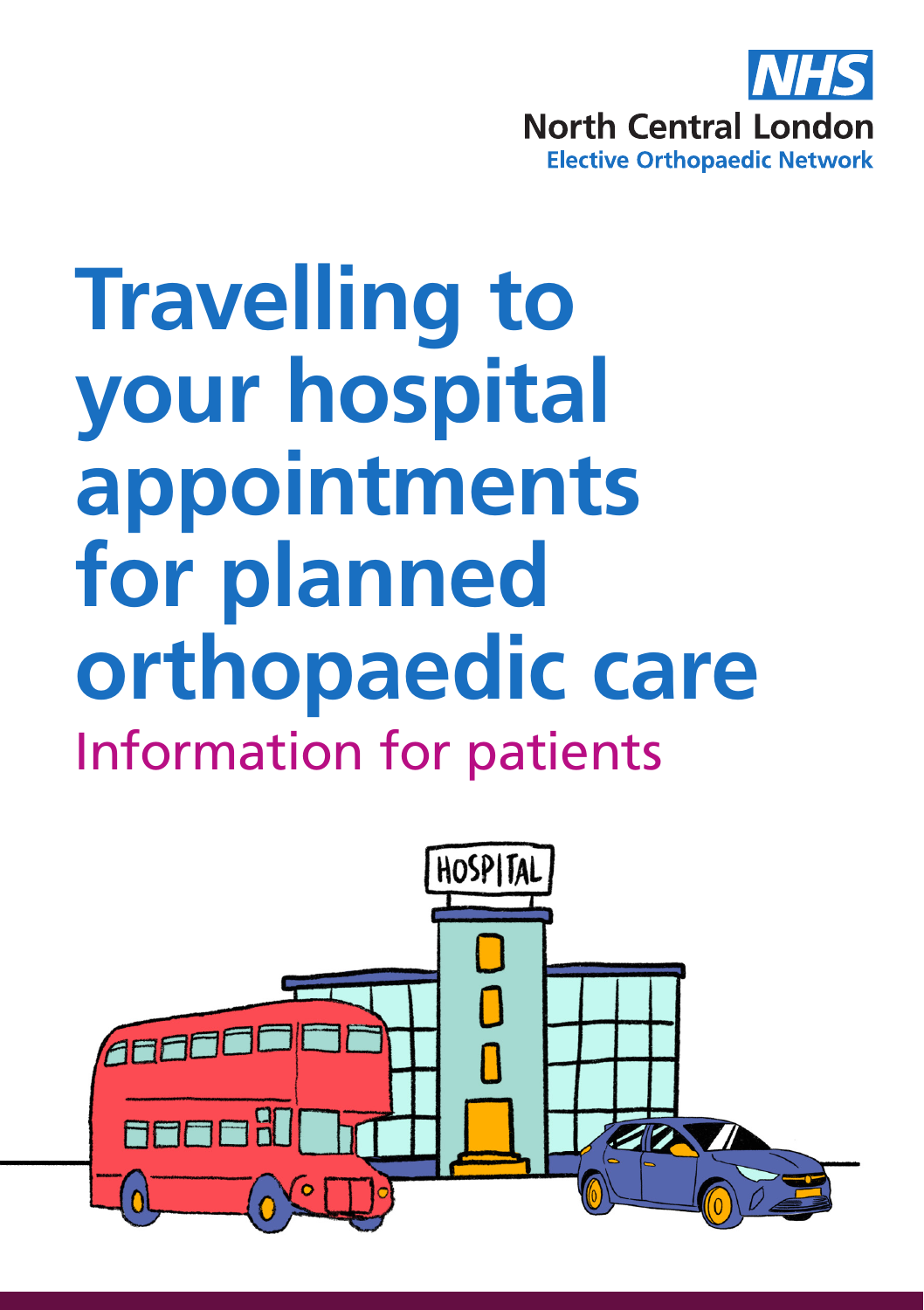

# **Travelling to your hospital appointments for planned orthopaedic care** Information for patients

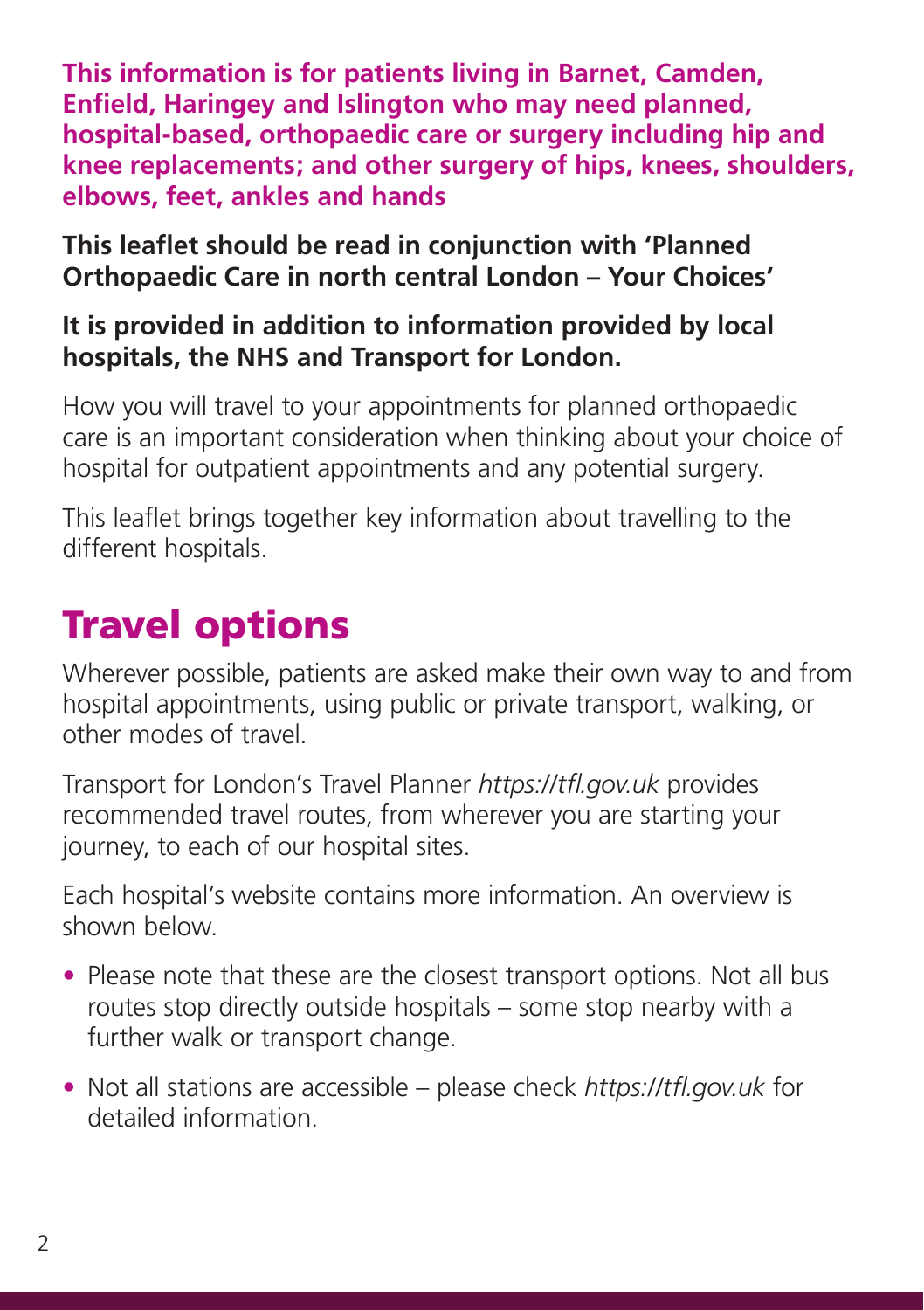**This information is for patients living in Barnet, Camden, Enfield, Haringey and Islington who may need planned, hospital-based, orthopaedic care or surgery including hip and knee replacements; and other surgery of hips, knees, shoulders, elbows, feet, ankles and hands**

**This leaflet should be read in conjunction with 'Planned Orthopaedic Care in north central London – Your Choices'**

### **It is provided in addition to information provided by local hospitals, the NHS and Transport for London.**

How you will travel to your appointments for planned orthopaedic care is an important consideration when thinking about your choice of hospital for outpatient appointments and any potential surgery.

This leaflet brings together key information about travelling to the different hospitals.

## Travel options

Wherever possible, patients are asked make their own way to and from hospital appointments, using public or private transport, walking, or other modes of travel.

Transport for London's Travel Planner *https://tfl.gov.uk* provides recommended travel routes, from wherever you are starting your journey, to each of our hospital sites.

Each hospital's website contains more information. An overview is shown below.

- Please note that these are the closest transport options. Not all bus routes stop directly outside hospitals – some stop nearby with a further walk or transport change.
- Not all stations are accessible please check *https://tfl.gov.uk* for detailed information.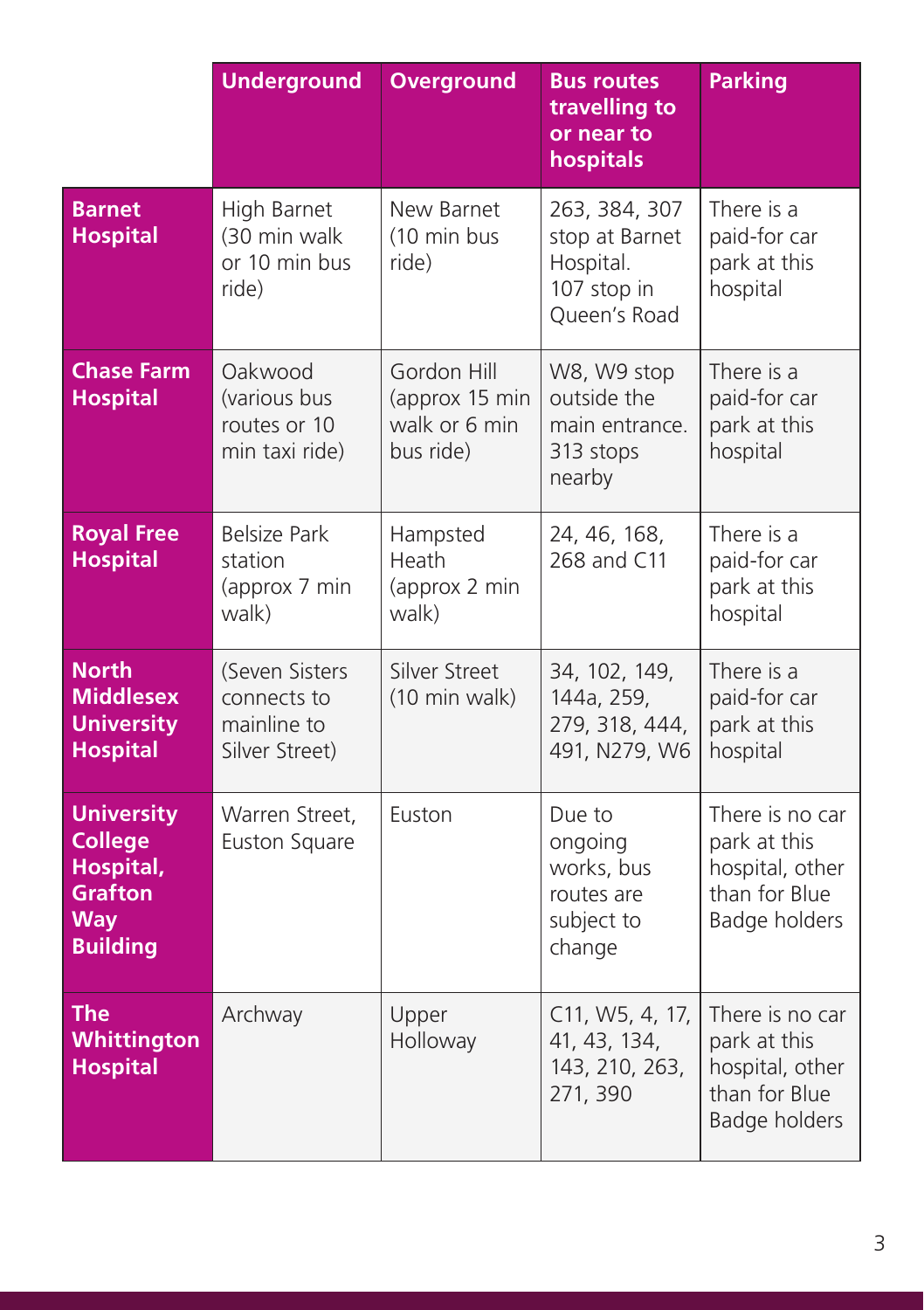|                                                                                              | <b>Underground</b>                                             | <b>Overground</b>                                           | <b>Bus routes</b><br>travelling to<br>or near to<br>hospitals               | <b>Parking</b>                                                                       |
|----------------------------------------------------------------------------------------------|----------------------------------------------------------------|-------------------------------------------------------------|-----------------------------------------------------------------------------|--------------------------------------------------------------------------------------|
| <b>Barnet</b><br><b>Hospital</b>                                                             | High Barnet<br>(30 min walk<br>or 10 min bus<br>ride)          | New Barnet<br>(10 min bus<br>ride)                          | 263, 384, 307<br>stop at Barnet<br>Hospital.<br>107 stop in<br>Queen's Road | There is a<br>paid-for car<br>park at this<br>hospital                               |
| <b>Chase Farm</b><br><b>Hospital</b>                                                         | Oakwood<br>(various bus<br>routes or 10<br>min taxi ride)      | Gordon Hill<br>(approx 15 min<br>walk or 6 min<br>bus ride) | W8, W9 stop<br>outside the<br>main entrance.<br>313 stops<br>nearby         | There is a<br>paid-for car<br>park at this<br>hospital                               |
| <b>Royal Free</b><br><b>Hospital</b>                                                         | <b>Belsize Park</b><br>station<br>(approx 7 min<br>walk)       | Hampsted<br>Heath<br>(approx 2 min<br>walk)                 | 24, 46, 168,<br>268 and C11                                                 | There is a<br>paid-for car<br>park at this<br>hospital                               |
| <b>North</b><br><b>Middlesex</b><br><b>University</b><br><b>Hospital</b>                     | (Seven Sisters<br>connects to<br>mainline to<br>Silver Street) | Silver Street<br>(10 min walk)                              | 34, 102, 149,<br>144a, 259,<br>279, 318, 444,<br>491, N279, W6              | There is a<br>paid-for car<br>park at this<br>hospital                               |
| <b>University</b><br><b>College</b><br>Hospital,<br><b>Grafton</b><br>Way<br><b>Building</b> | Warren Street,<br>Euston Square                                | Euston                                                      | Due to<br>ongoing<br>works, bus<br>routes are<br>subject to<br>change       | There is no car<br>park at this<br>hospital, other<br>than for Blue<br>Badge holders |
| <b>The</b><br>Whittington<br><b>Hospital</b>                                                 | Archway                                                        | Upper<br>Holloway                                           | C11, W5, 4, 17,<br>41, 43, 134,<br>143, 210, 263,<br>271, 390               | There is no car<br>park at this<br>hospital, other<br>than for Blue<br>Badge holders |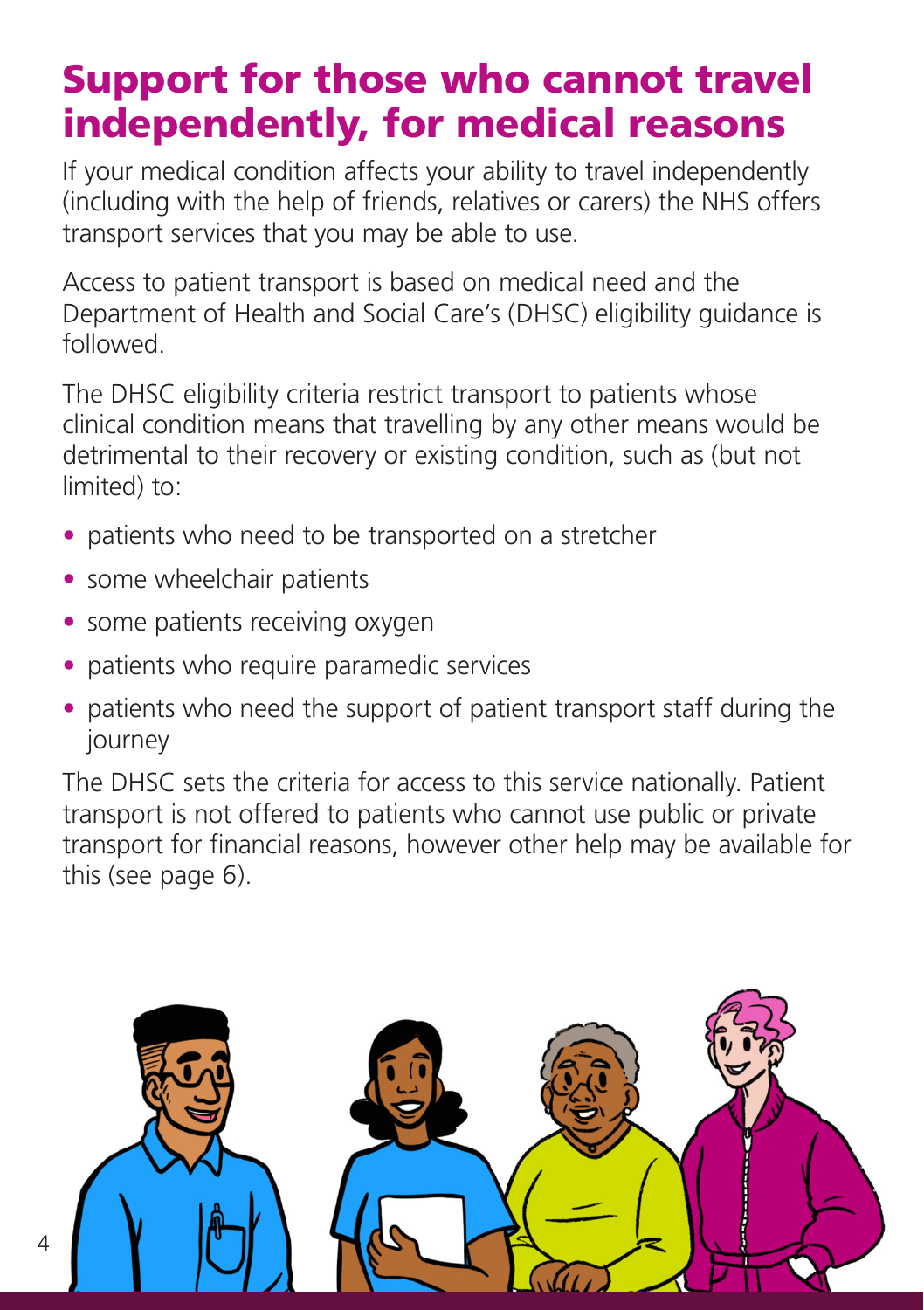### Support for those who cannot travel independently, for medical reasons

If your medical condition affects your ability to travel independently (including with the help of friends, relatives or carers) the NHS offers transport services that you may be able to use.

Access to patient transport is based on medical need and the Department of Health and Social Care's (DHSC) eligibility guidance is followed.

The DHSC eligibility criteria restrict transport to patients whose clinical condition means that travelling by any other means would be detrimental to their recovery or existing condition, such as (but not limited) to:

- patients who need to be transported on a stretcher
- some wheelchair patients
- some patients receiving oxygen
- patients who require paramedic services
- patients who need the support of patient transport staff during the journey

The DHSC sets the criteria for access to this service nationally. Patient transport is not offered to patients who cannot use public or private transport for financial reasons, however other help may be available for this (see page 6).

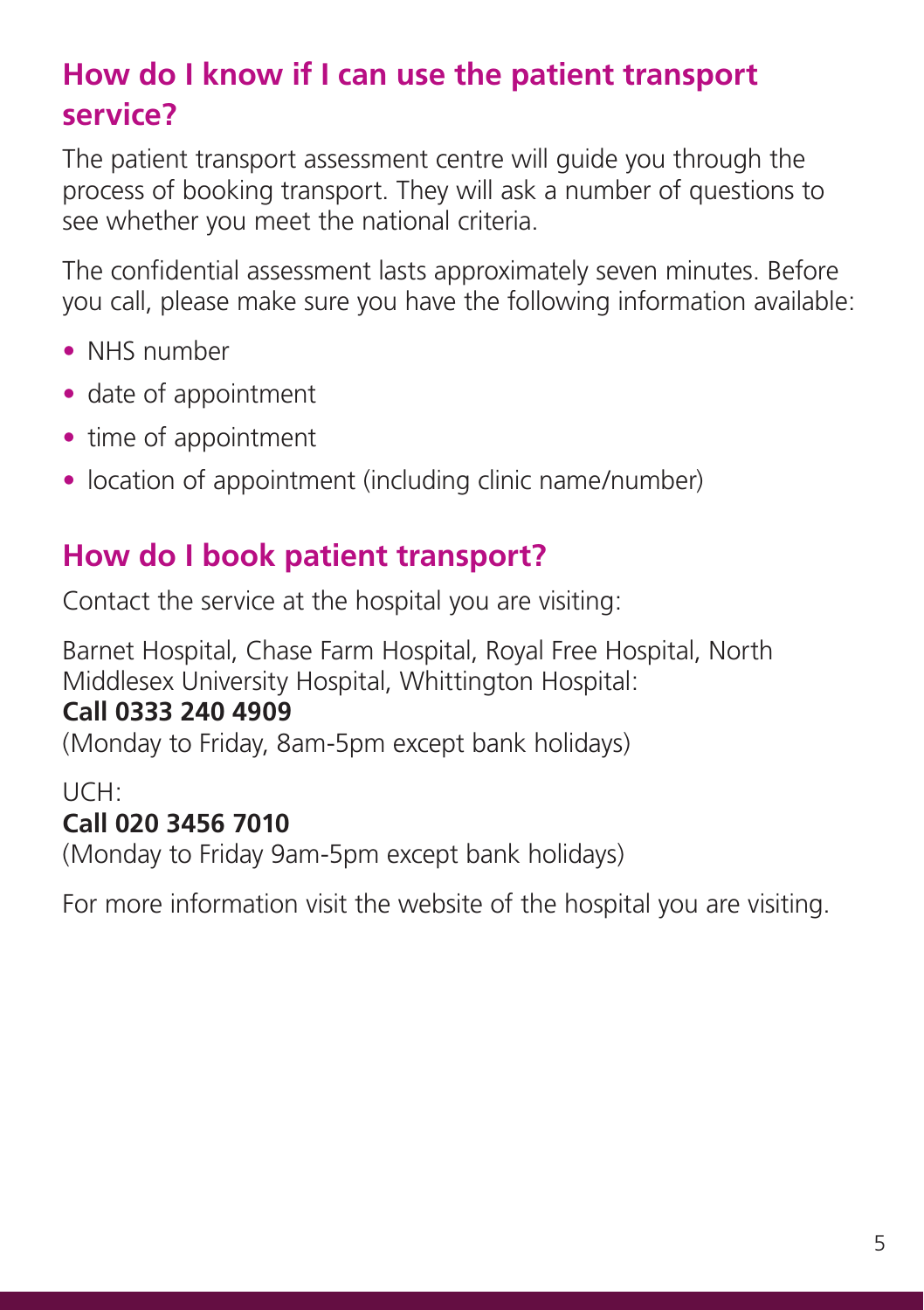### **How do I know if I can use the patient transport service?**

The patient transport assessment centre will guide you through the process of booking transport. They will ask a number of questions to see whether you meet the national criteria.

The confidential assessment lasts approximately seven minutes. Before you call, please make sure you have the following information available:

- NHS number
- date of appointment
- time of appointment
- location of appointment (including clinic name/number)

### **How do I book patient transport?**

Contact the service at the hospital you are visiting:

Barnet Hospital, Chase Farm Hospital, Royal Free Hospital, North Middlesex University Hospital, Whittington Hospital:

### **Call 0333 240 4909**

(Monday to Friday, 8am-5pm except bank holidays)

#### UCH: **Call 020 3456 7010**

(Monday to Friday 9am-5pm except bank holidays)

For more information visit the website of the hospital you are visiting.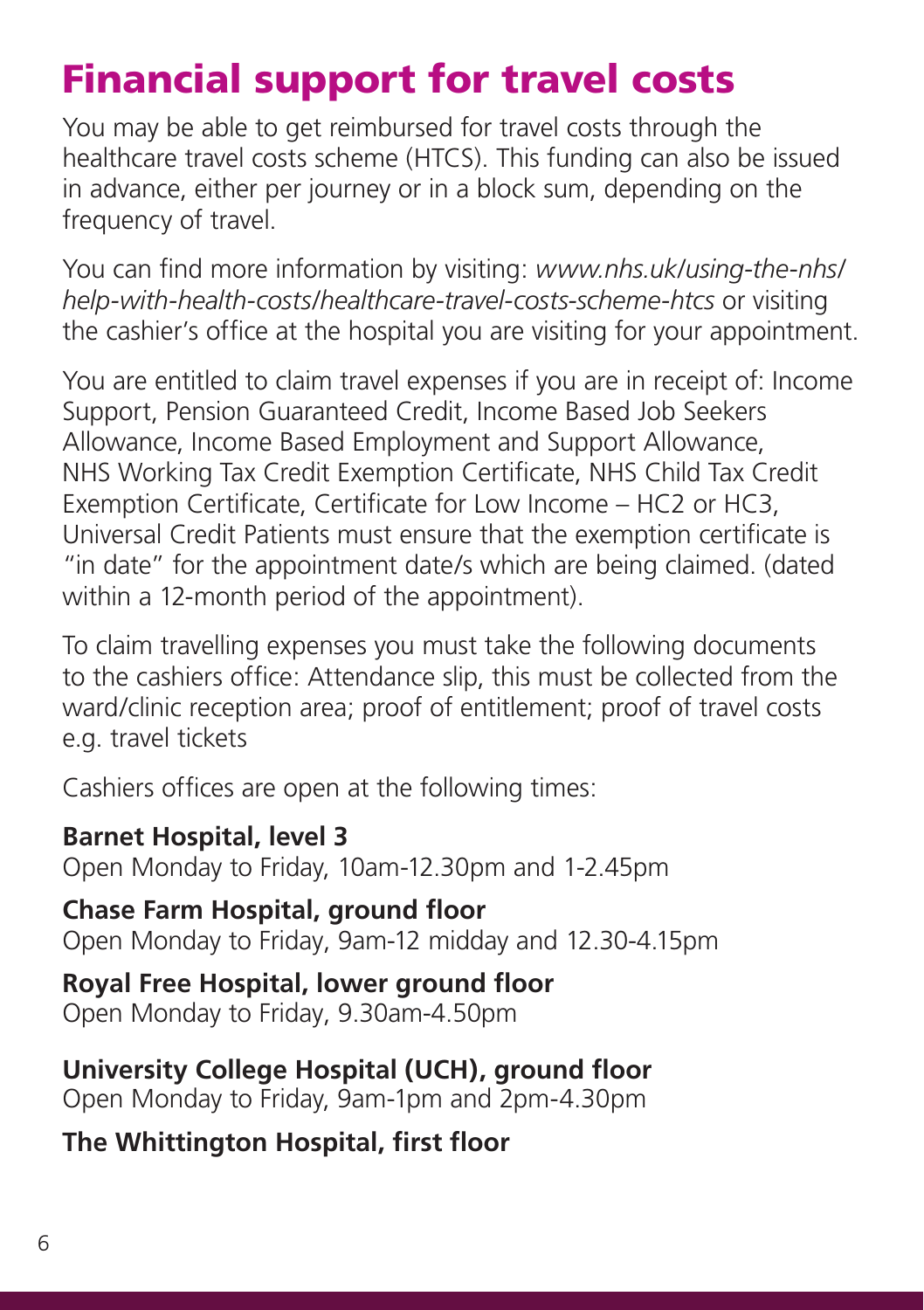## Financial support for travel costs

You may be able to get reimbursed for travel costs through the healthcare travel costs scheme (HTCS). This funding can also be issued in advance, either per journey or in a block sum, depending on the frequency of travel.

You can find more information by visiting: *www.nhs.uk/using-the-nhs/ help-with-health-costs/healthcare-travel-costs-scheme-htcs* or visiting the cashier's office at the hospital you are visiting for your appointment.

You are entitled to claim travel expenses if you are in receipt of: Income Support, Pension Guaranteed Credit, Income Based Job Seekers Allowance, Income Based Employment and Support Allowance, NHS Working Tax Credit Exemption Certificate, NHS Child Tax Credit Exemption Certificate, Certificate for Low Income – HC2 or HC3, Universal Credit Patients must ensure that the exemption certificate is "in date" for the appointment date/s which are being claimed. (dated within a 12-month period of the appointment).

To claim travelling expenses you must take the following documents to the cashiers office: Attendance slip, this must be collected from the ward/clinic reception area; proof of entitlement; proof of travel costs e.g. travel tickets

Cashiers offices are open at the following times:

**Barnet Hospital, level 3** Open Monday to Friday, 10am-12.30pm and 1-2.45pm

**Chase Farm Hospital, ground floor**

Open Monday to Friday, 9am-12 midday and 12.30-4.15pm

**Royal Free Hospital, lower ground floor** Open Monday to Friday, 9.30am-4.50pm

**University College Hospital (UCH), ground floor** Open Monday to Friday, 9am-1pm and 2pm-4.30pm

**The Whittington Hospital, first floor**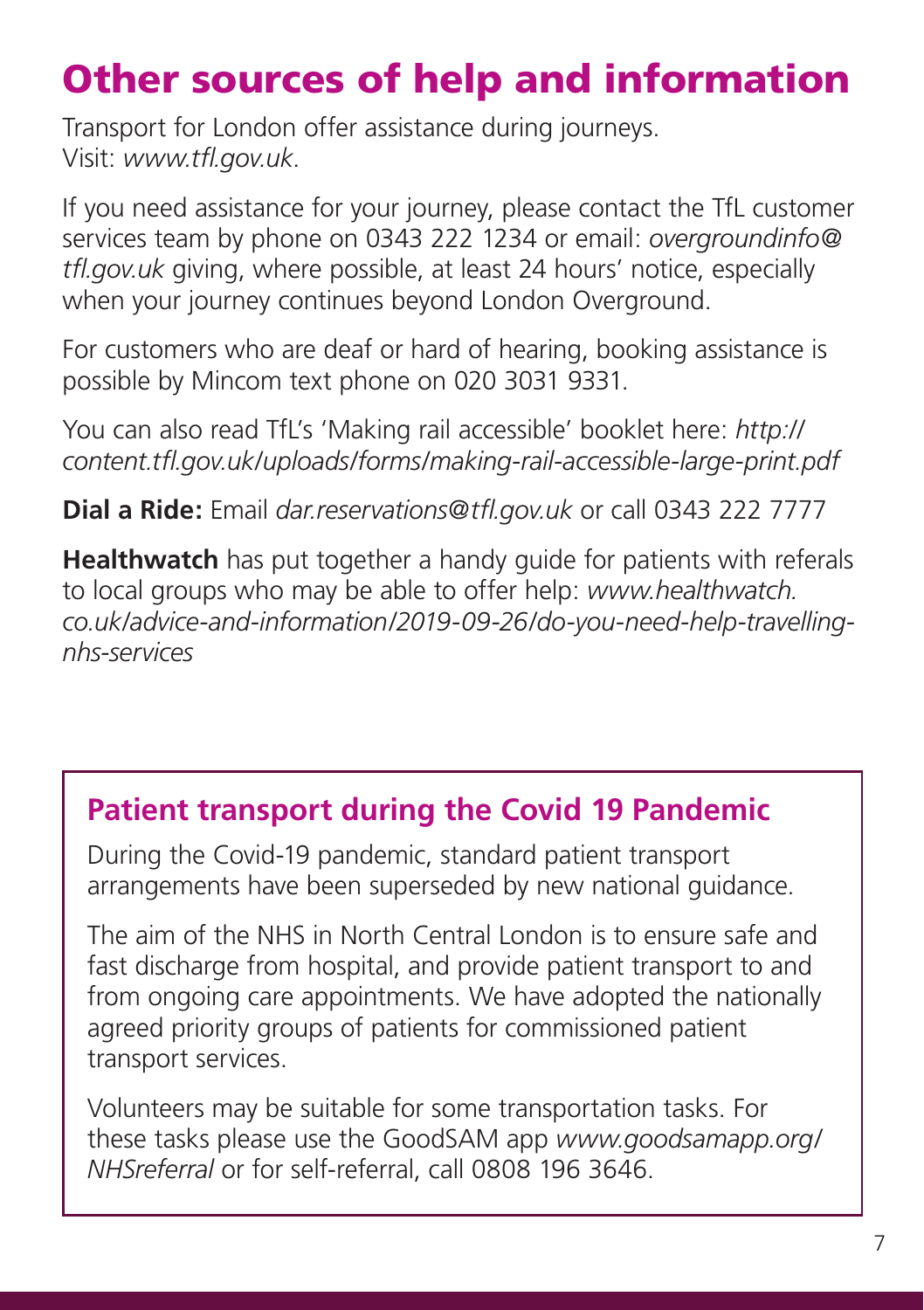# Other sources of help and information

Transport for London offer assistance during journeys. Visit: *www.tfl.gov.uk*.

If you need assistance for your journey, please contact the TfL customer services team by phone on 0343 222 1234 or email: *overgroundinfo@ tfl.gov.uk* giving, where possible, at least 24 hours' notice, especially when your journey continues beyond London Overground.

For customers who are deaf or hard of hearing, booking assistance is possible by Mincom text phone on 020 3031 9331.

You can also read TfL's 'Making rail accessible' booklet here: *http:// content.tfl.gov.uk/uploads/forms/making-rail-accessible-large-print.pdf*

**Dial a Ride:** Email *dar.reservations@tfl.gov.uk* or call 0343 222 7777

**Healthwatch** has put together a handy guide for patients with referals to local groups who may be able to offer help: *www.healthwatch. co.uk/advice-and-information/2019-09-26/do-you-need-help-travellingnhs-services*

### **Patient transport during the Covid 19 Pandemic**

During the Covid-19 pandemic, standard patient transport arrangements have been superseded by new national guidance.

The aim of the NHS in North Central London is to ensure safe and fast discharge from hospital, and provide patient transport to and from ongoing care appointments. We have adopted the nationally agreed priority groups of patients for commissioned patient transport services.

Volunteers may be suitable for some transportation tasks. For these tasks please use the GoodSAM app *www.goodsamapp.org/ NHSreferral* or for self-referral, call 0808 196 3646.